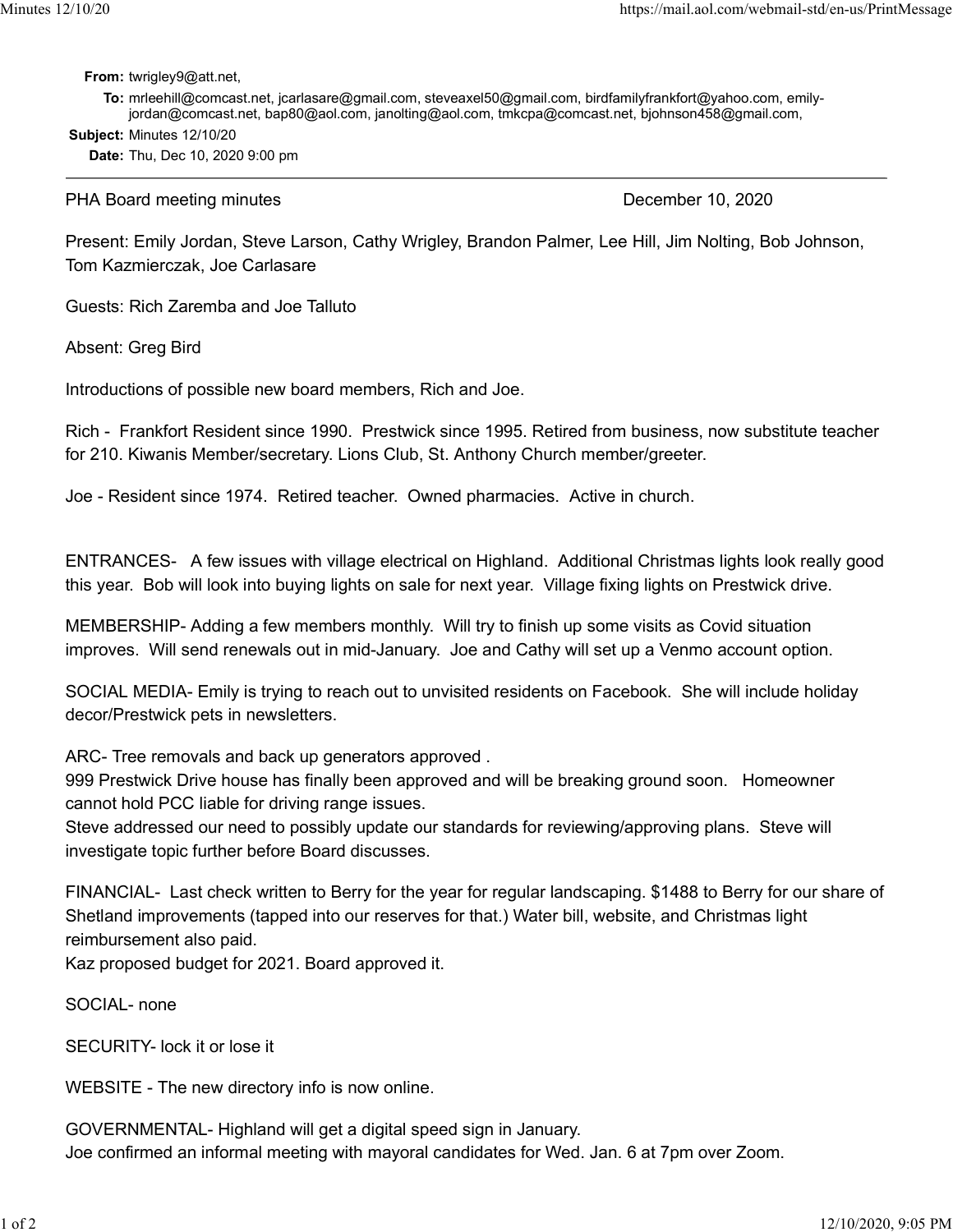From: twrigley9@att.net,

To: mrleehill@comcast.net, jcarlasare@gmail.com, steveaxel50@gmail.com, birdfamilyfrankfort@yahoo.com, emilyjordan@comcast.net, bap80@aol.com, janolting@aol.com, tmkcpa@comcast.net, bjohnson458@gmail.com, Minutes 12/10/20<br>
https://mail.aol.com/webmail-std/en-us/PrintMessage<br> **From:** twrigley9@att.net,<br> **To:** mrleehill@comcast.net, jcarlasare@gmail.com, steveaxel50@gmail.com, birdfamilyfrankfort@yahoo.com, emily-

Subject: Minutes 12/10/20

Date: Thu, Dec 10, 2020 9:00 pm

PHA Board meeting minutes **December 10, 2020** 

Present: Emily Jordan, Steve Larson, Cathy Wrigley, Brandon Palmer, Lee Hill, Jim Nolting, Bob Johnson, Tom Kazmierczak, Joe Carlasare

Guests: Rich Zaremba and Joe Talluto

Absent: Greg Bird

Introductions of possible new board members, Rich and Joe.

Rich - Frankfort Resident since 1990. Prestwick since 1995. Retired from business, now substitute teacher for 210. Kiwanis Member/secretary. Lions Club, St. Anthony Church member/greeter.

Joe - Resident since 1974. Retired teacher. Owned pharmacies. Active in church.

ENTRANCES- A few issues with village electrical on Highland. Additional Christmas lights look really good this year. Bob will look into buying lights on sale for next year. Village fixing lights on Prestwick drive.

MEMBERSHIP- Adding a few members monthly. Will try to finish up some visits as Covid situation improves. Will send renewals out in mid-January. Joe and Cathy will set up a Venmo account option.

SOCIAL MEDIA- Emily is trying to reach out to unvisited residents on Facebook. She will include holiday decor/Prestwick pets in newsletters.

ARC- Tree removals and back up generators approved .

999 Prestwick Drive house has finally been approved and will be breaking ground soon. Homeowner cannot hold PCC liable for driving range issues.

Steve addressed our need to possibly update our standards for reviewing/approving plans. Steve will investigate topic further before Board discusses.

FINANCIAL- Last check written to Berry for the year for regular landscaping. \$1488 to Berry for our share of Shetland improvements (tapped into our reserves for that.) Water bill, website, and Christmas light reimbursement also paid.

Kaz proposed budget for 2021. Board approved it.

SOCIAL- none

SECURITY- lock it or lose it

WEBSITE - The new directory info is now online.

GOVERNMENTAL- Highland will get a digital speed sign in January. Joe confirmed an informal meeting with mayoral candidates for Wed. Jan. 6 at 7pm over Zoom.